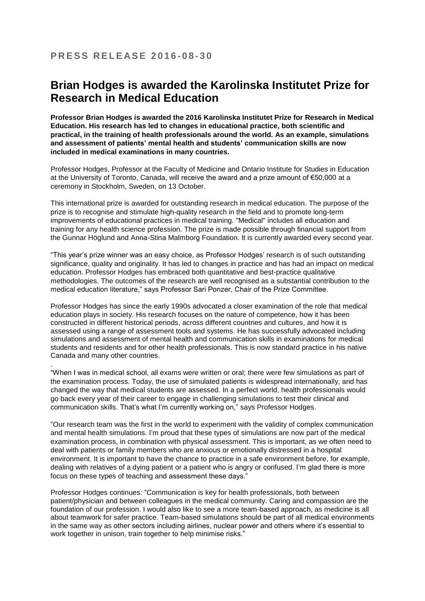.

## **Brian Hodges is awarded the Karolinska Institutet Prize for Research in Medical Education**

**Professor Brian Hodges is awarded the 2016 Karolinska Institutet Prize for Research in Medical Education. His research has led to changes in educational practice, both scientific and practical, in the training of health professionals around the world. As an example, simulations and assessment of patients' mental health and students' communication skills are now included in medical examinations in many countries.** 

Professor Hodges, Professor at the Faculty of Medicine and Ontario Institute for Studies in Education at the University of Toronto, Canada, will receive the award and a prize amount of €50,000 at a ceremony in Stockholm, Sweden, on 13 October.

This international prize is awarded for outstanding research in medical education. The purpose of the prize is to recognise and stimulate high-quality research in the field and to promote long-term improvements of educational practices in medical training. "Medical" includes all education and training for any health science profession. The prize is made possible through financial support from the Gunnar Höglund and Anna-Stina Malmborg Foundation. It is currently awarded every second year.

"This year's prize winner was an easy choice, as Professor Hodges' research is of such outstanding significance, quality and originality. It has led to changes in practice and has had an impact on medical education. Professor Hodges has embraced both quantitative and best-practice qualitative methodologies. The outcomes of the research are well recognised as a substantial contribution to the medical education literature," says Professor Sari Ponzer, Chair of the Prize Committee.

Professor Hodges has since the early 1990s advocated a closer examination of the role that medical education plays in society. His research focuses on the nature of competence, how it has been constructed in different historical periods, across different countries and cultures, and how it is assessed using a range of assessment tools and systems. He has successfully advocated including simulations and assessment of mental health and communication skills in examinations for medical students and residents and for other health professionals. This is now standard practice in his native Canada and many other countries.

"When I was in medical school, all exams were written or oral; there were few simulations as part of the examination process. Today, the use of simulated patients is widespread internationally, and has changed the way that medical students are assessed. In a perfect world, health professionals would go back every year of their career to engage in challenging simulations to test their clinical and communication skills. That's what I'm currently working on," says Professor Hodges.

"Our research team was the first in the world to experiment with the validity of complex communication and mental health simulations. I'm proud that these types of simulations are now part of the medical examination process, in combination with physical assessment. This is important, as we often need to deal with patients or family members who are anxious or emotionally distressed in a hospital environment. It is important to have the chance to practice in a safe environment before, for example, dealing with relatives of a dying patient or a patient who is angry or confused. I'm glad there is more focus on these types of teaching and assessment these days."

Professor Hodges continues: "Communication is key for health professionals, both between patient/physician and between colleagues in the medical community. Caring and compassion are the foundation of our profession. I would also like to see a more team-based approach, as medicine is all about teamwork for safer practice. Team-based simulations should be part of all medical environments in the same way as other sectors including airlines, nuclear power and others where it's essential to work together in unison, train together to help minimise risks."